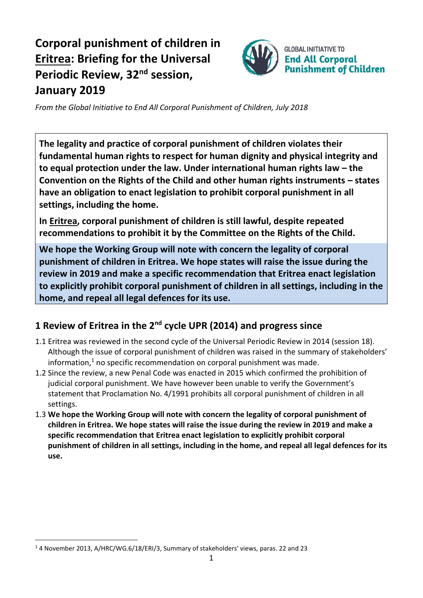## **Corporal punishment of children in Eritrea: Briefing for the Universal Periodic Review, 32<sup>nd</sup> session, January 2019**



*From the Global Initiative to End All Corporal Punishment of Children, July 2018*

**The legality and practice of corporal punishment of children violates their fundamental human rights to respect for human dignity and physical integrity and to equal protection under the law. Under international human rights law – the Convention on the Rights of the Child and other human rights instruments – states have an obligation to enact legislation to prohibit corporal punishment in all settings, including the home.**

**In Eritrea, corporal punishment of children is still lawful, despite repeated recommendations to prohibit it by the Committee on the Rights of the Child.**

**We hope the Working Group will note with concern the legality of corporal punishment of children in Eritrea. We hope states will raise the issue during the review in 2019 and make a specific recommendation that Eritrea enact legislation to explicitly prohibit corporal punishment of children in all settings, including in the home, and repeal all legal defences for its use.**

## **1 Review of Eritrea in the 2nd cycle UPR (2014) and progress since**

- 1.1 Eritrea was reviewed in the second cycle of the Universal Periodic Review in 2014 (session 18). Although the issue of corporal punishment of children was raised in the summary of stakeholders' information,<sup>1</sup> no specific recommendation on corporal punishment was made.
- 1.2 Since the review, a new Penal Code was enacted in 2015 which confirmed the prohibition of judicial corporal punishment. We have however been unable to verify the Government's statement that Proclamation No. 4/1991 prohibits all corporal punishment of children in all settings.
- 1.3 **We hope the Working Group will note with concern the legality of corporal punishment of children in Eritrea. We hope states will raise the issue during the review in 2019 and make a specific recommendation that Eritrea enact legislation to explicitly prohibit corporal punishment of children in all settings, including in the home, and repeal all legal defences for its use.**

 $\overline{a}$ 

<sup>1</sup> 4 November 2013, A/HRC/WG.6/18/ERI/3, Summary of stakeholders' views, paras. 22 and 23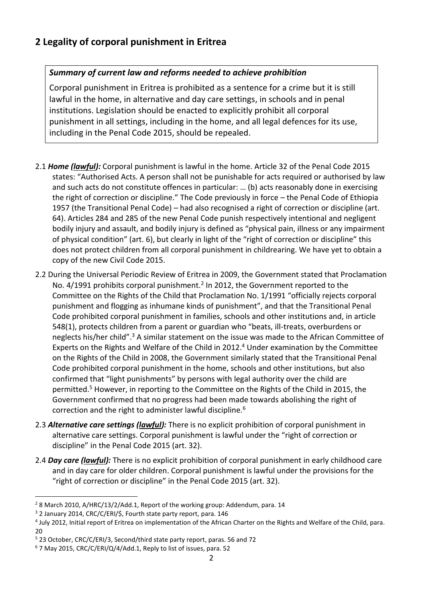## *Summary of current law and reforms needed to achieve prohibition*

Corporal punishment in Eritrea is prohibited as a sentence for a crime but it is still lawful in the home, in alternative and day care settings, in schools and in penal institutions. Legislation should be enacted to explicitly prohibit all corporal punishment in all settings, including in the home, and all legal defences for its use, including in the Penal Code 2015, should be repealed.

- 2.1 *Home (lawful):* Corporal punishment is lawful in the home. Article 32 of the Penal Code 2015 states: "Authorised Acts. A person shall not be punishable for acts required or authorised by law and such acts do not constitute offences in particular: … (b) acts reasonably done in exercising the right of correction or discipline." The Code previously in force – the Penal Code of Ethiopia 1957 (the Transitional Penal Code) – had also recognised a right of correction or discipline (art. 64). Articles 284 and 285 of the new Penal Code punish respectively intentional and negligent bodily injury and assault, and bodily injury is defined as "physical pain, illness or any impairment of physical condition" (art. 6), but clearly in light of the "right of correction or discipline" this does not protect children from all corporal punishment in childrearing. We have yet to obtain a copy of the new Civil Code 2015.
- 2.2 During the Universal Periodic Review of Eritrea in 2009, the Government stated that Proclamation No.  $4/1991$  prohibits corporal punishment.<sup>2</sup> In 2012, the Government reported to the Committee on the Rights of the Child that Proclamation No. 1/1991 "officially rejects corporal punishment and flogging as inhumane kinds of punishment", and that the Transitional Penal Code prohibited corporal punishment in families, schools and other institutions and, in article 548(1), protects children from a parent or guardian who "beats, ill-treats, overburdens or neglects his/her child".<sup>3</sup> A similar statement on the issue was made to the African Committee of Experts on the Rights and Welfare of the Child in 2012.<sup>4</sup> Under examination by the Committee on the Rights of the Child in 2008, the Government similarly stated that the Transitional Penal Code prohibited corporal punishment in the home, schools and other institutions, but also confirmed that "light punishments" by persons with legal authority over the child are permitted.<sup>5</sup> However, in reporting to the Committee on the Rights of the Child in 2015, the Government confirmed that no progress had been made towards abolishing the right of correction and the right to administer lawful discipline.<sup>6</sup>
- 2.3 *Alternative care settings (lawful):* There is no explicit prohibition of corporal punishment in alternative care settings. Corporal punishment is lawful under the "right of correction or discipline" in the Penal Code 2015 (art. 32).
- 2.4 *Day care (lawful):* There is no explicit prohibition of corporal punishment in early childhood care and in day care for older children. Corporal punishment is lawful under the provisions for the "right of correction or discipline" in the Penal Code 2015 (art. 32).

 $\overline{a}$ 

<sup>&</sup>lt;sup>2</sup> 8 March 2010, A/HRC/13/2/Add.1, Report of the working group: Addendum, para. 14

<sup>3</sup> 2 January 2014, CRC/C/ERI/\$, Fourth state party report, para. 146

<sup>&</sup>lt;sup>4</sup> July 2012, Initial report of Eritrea on implementation of the African Charter on the Rights and Welfare of the Child, para. 20

<sup>5</sup> 23 October, CRC/C/ERI/3, Second/third state party report, paras. 56 and 72

<sup>6</sup> 7 May 2015, CRC/C/ERI/Q/4/Add.1, Reply to list of issues, para. 52